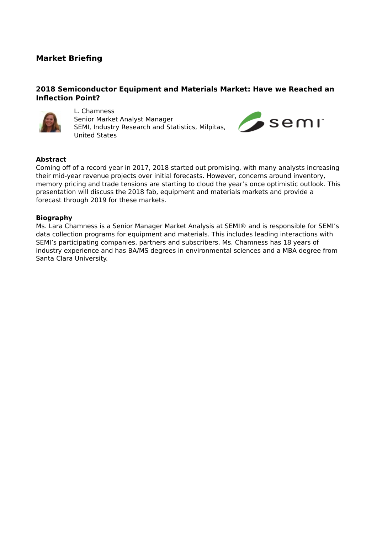# **Market Briefing**

## **2018 Semiconductor Equipment and Materials Market: Have we Reached an Inflection Point?**



L. Chamness Senior Market Analyst Manager SEMI, Industry Research and Statistics, Milpitas, United States



### **Abstract**

Coming off of a record year in 2017, 2018 started out promising, with many analysts increasing their mid-year revenue projects over initial forecasts. However, concerns around inventory, memory pricing and trade tensions are starting to cloud the year's once optimistic outlook. This presentation will discuss the 2018 fab, equipment and materials markets and provide a forecast through 2019 for these markets.

#### **Biography**

Ms. Lara Chamness is a Senior Manager Market Analysis at SEMI® and is responsible for SEMI's data collection programs for equipment and materials. This includes leading interactions with SEMI's participating companies, partners and subscribers. Ms. Chamness has 18 years of industry experience and has BA/MS degrees in environmental sciences and a MBA degree from Santa Clara University.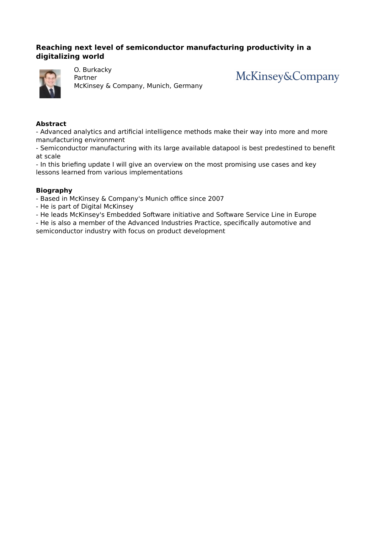## **Reaching next level of semiconductor manufacturing productivity in a digitalizing world**



O. Burkacky

Partner McKinsey & Company, Munich, Germany McKinsey&Company

### **Abstract**

- Advanced analytics and artificial intelligence methods make their way into more and more manufacturing environment

- Semiconductor manufacturing with its large available datapool is best predestined to benefit at scale

- In this briefing update I will give an overview on the most promising use cases and key lessons learned from various implementations

#### **Biography**

- Based in McKinsey & Company's Munich office since 2007
- He is part of Digital McKinsey
- He leads McKinsey's Embedded Software initiative and Software Service Line in Europe
- He is also a member of the Advanced Industries Practice, specifically automotive and semiconductor industry with focus on product development